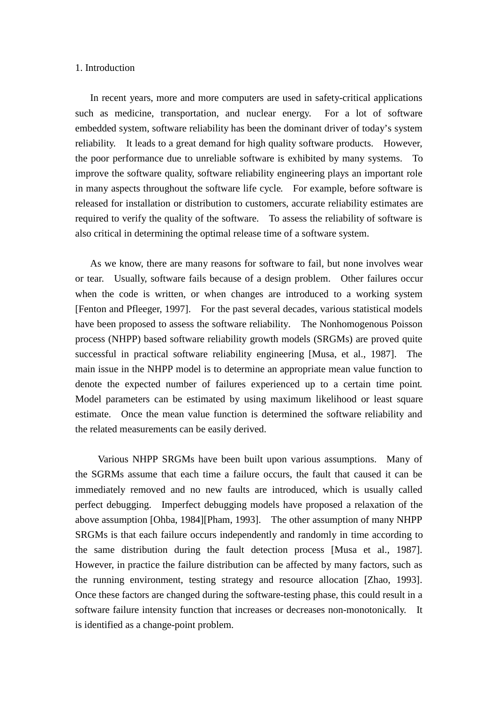## 1. Introduction

In recent years, more and more computers are used in safety-critical applications such as medicine, transportation, and nuclear energy. For a lot of software embedded system, software reliability has been the dominant driver of today's system reliability. It leads to a great demand for high quality software products. However, the poor performance due to unreliable software is exhibited by many systems. To improve the software quality, software reliability engineering plays an important role in many aspects throughout the software life cycle. For example, before software is released for installation or distribution to customers, accurate reliability estimates are required to verify the quality of the software. To assess the reliability of software is also critical in determining the optimal release time of a software system.

As we know, there are many reasons for software to fail, but none involves wear or tear. Usually, software fails because of a design problem. Other failures occur when the code is written, or when changes are introduced to a working system [Fenton and Pfleeger, 1997]. For the past several decades, various statistical models have been proposed to assess the software reliability. The Nonhomogenous Poisson process (NHPP) based software reliability growth models (SRGMs) are proved quite successful in practical software reliability engineering [Musa, et al., 1987]. The main issue in the NHPP model is to determine an appropriate mean value function to denote the expected number of failures experienced up to a certain time point. Model parameters can be estimated by using maximum likelihood or least square estimate. Once the mean value function is determined the software reliability and the related measurements can be easily derived.

Various NHPP SRGMs have been built upon various assumptions. Many of the SGRMs assume that each time a failure occurs, the fault that caused it can be immediately removed and no new faults are introduced, which is usually called perfect debugging. Imperfect debugging models have proposed a relaxation of the above assumption [Ohba, 1984][Pham, 1993]. The other assumption of many NHPP SRGMs is that each failure occurs independently and randomly in time according to the same distribution during the fault detection process [Musa et al., 1987]. However, in practice the failure distribution can be affected by many factors, such as the running environment, testing strategy and resource allocation [Zhao, 1993]. Once these factors are changed during the software-testing phase, this could result in a software failure intensity function that increases or decreases non-monotonically. It is identified as a change-point problem.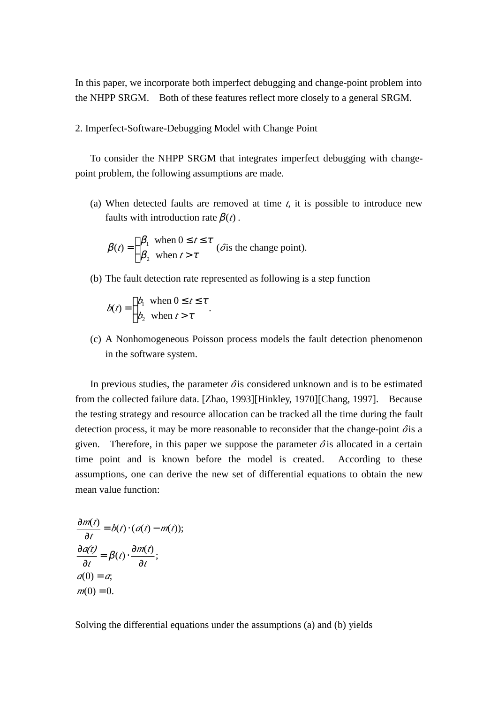In this paper, we incorporate both imperfect debugging and change-point problem into the NHPP SRGM. Both of these features reflect more closely to a general SRGM.

2. Imperfect-Software-Debugging Model with Change Point

To consider the NHPP SRGM that integrates imperfect debugging with changepoint problem, the following assumptions are made.

(a) When detected faults are removed at time *t*, it is possible to introduce new faults with introduction rate  $S(t)$ .

$$
S(t) = \begin{cases} S_1 & \text{when } 0 \le t \le t \\ S_2 & \text{when } t > t \end{cases} \text{ (} \delta \text{is the change point)}.
$$

(b) The fault detection rate represented as following is a step function

$$
b(t) = \begin{cases} b_1 & \text{when } 0 \le t \le t \\ b_2 & \text{when } t > t \end{cases}.
$$

(c) A Nonhomogeneous Poisson process models the fault detection phenomenon in the software system.

In previous studies, the parameter  $\partial$  is considered unknown and is to be estimated from the collected failure data. [Zhao, 1993][Hinkley, 1970][Chang, 1997]. Because the testing strategy and resource allocation can be tracked all the time during the fault detection process, it may be more reasonable to reconsider that the change-point  $\partial$  is a given. Therefore, in this paper we suppose the parameter  $\partial$  is allocated in a certain time point and is known before the model is created. According to these assumptions, one can derive the new set of differential equations to obtain the new mean value function:

$$
\frac{\partial m(t)}{\partial t} = b(t) \cdot (a(t) - m(t));
$$

$$
\frac{\partial a(t)}{\partial t} = S(t) \cdot \frac{\partial m(t)}{\partial t};
$$

$$
a(0) = a;
$$

$$
m(0) = 0.
$$

Solving the differential equations under the assumptions (a) and (b) yields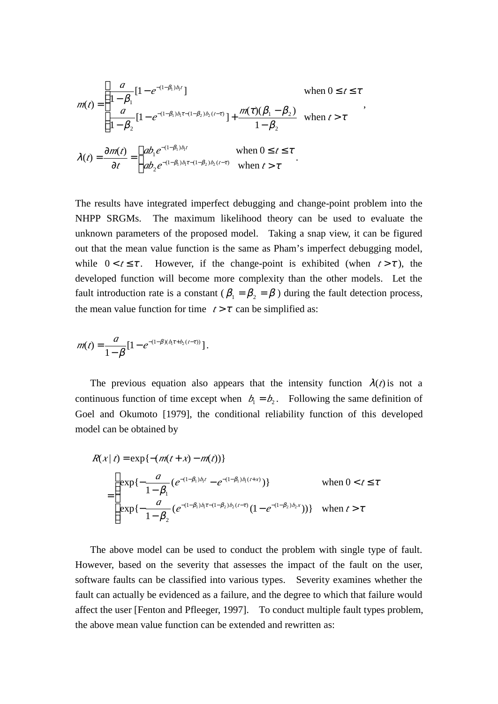$$
m(t) = \begin{cases} \frac{a}{1 - S_1} [1 - e^{-(1 - S_1) b_1 t}] & \text{when } 0 \le t \le t \\ \frac{a}{1 - S_2} [1 - e^{-(1 - S_1) b_1 t - (1 - S_2) b_2 (t - t)}] + \frac{m(t) (S_1 - S_2)}{1 - S_2} & \text{when } t > t \end{cases}
$$
  

$$
f(t) = \frac{\partial m(t)}{\partial t} = \begin{cases} ab_1 e^{-(1 - S_1) b_1 t} & \text{when } 0 \le t \le t \\ ab_2 e^{-(1 - S_1) b_1 t - (1 - S_2) b_2 (t - t)} & \text{when } t > t \end{cases}
$$

The results have integrated imperfect debugging and change-point problem into the NHPP SRGMs. The maximum likelihood theory can be used to evaluate the unknown parameters of the proposed model. Taking a snap view, it can be figured out that the mean value function is the same as Pham's imperfect debugging model, while  $0 < t \leq t$ . However, if the change-point is exhibited (when  $t > t$ ), the developed function will become more complexity than the other models. Let the fault introduction rate is a constant ( $S_1 = S_2 = S$ ) during the fault detection process, the mean value function for time  $t > t$  can be simplified as:

,

$$
m(t) = \frac{a}{1 - s} [1 - e^{-(1 - s)(\lambda_1 t + \lambda_2 (t - t))}].
$$

The previous equation also appears that the intensity function  $\chi(t)$  is not a continuous function of time except when  $b_1 = b_2$ . Following the same definition of Goel and Okumoto [1979], the conditional reliability function of this developed model can be obtained by

$$
R(x | t) = \exp\{- (m(t + x) - m(t)) \}
$$
  
= 
$$
\begin{cases} \exp\{-\frac{a}{1 - S_1}(e^{-(1 - S_1)\delta_1 t} - e^{-(1 - S_1)\delta_1 (t + x)})\} & \text{when } 0 < t \le t \\ \exp\{-\frac{a}{1 - S_2}(e^{-(1 - S_1)\delta_1 t - (1 - S_2)\delta_2 (t - t)}(1 - e^{-(1 - S_2)\delta_2 x}))\} & \text{when } t > t \end{cases}
$$

The above model can be used to conduct the problem with single type of fault. However, based on the severity that assesses the impact of the fault on the user, software faults can be classified into various types. Severity examines whether the fault can actually be evidenced as a failure, and the degree to which that failure would affect the user [Fenton and Pfleeger, 1997]. To conduct multiple fault types problem, the above mean value function can be extended and rewritten as: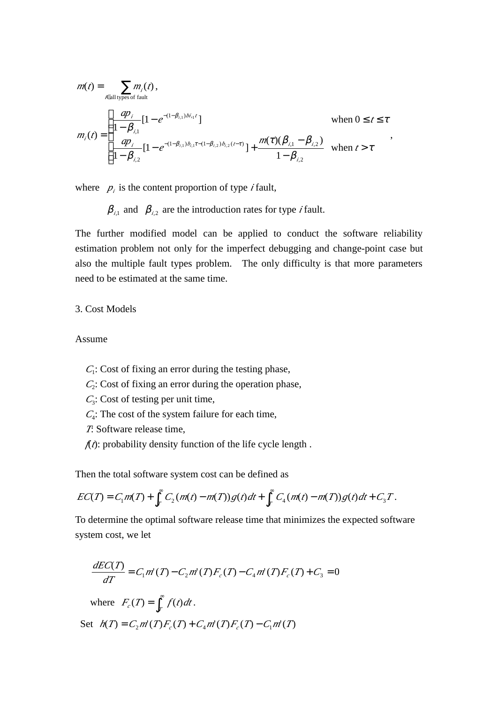$$
m(t) = \sum_{k \text{ all types of fault}} m_i(t),
$$
  
\n
$$
m_i(t) = \begin{cases}\n\frac{d p_i}{1 - S_{i,1}} [1 - e^{-(1 - S_{i,1})b_{i,1}t}] & \text{when } 0 \le t \le t \\
\frac{d p_i}{1 - S_{i,2}} [1 - e^{-(1 - S_{i,1})b_{i,1}t - (1 - S_{i,2})b_{i,2}(t - t)}] + \frac{m(\hat{t})(S_{i,1} - S_{i,2})}{1 - S_{i,2}} & \text{when } t > t\n\end{cases}
$$

where  $p_i$  is the content proportion of type *i* fault,

 $S_{i,1}$  and  $S_{i,2}$  are the introduction rates for type *i* fault.

The further modified model can be applied to conduct the software reliability estimation problem not only for the imperfect debugging and change-point case but also the multiple fault types problem. The only difficulty is that more parameters need to be estimated at the same time.

## 3. Cost Models

## Assume

- $C_1$ : Cost of fixing an error during the testing phase,
- $C_2$ : Cost of fixing an error during the operation phase,
- $C_3$ : Cost of testing per unit time,
- $C_4$ : The cost of the system failure for each time,
	- *<sup>T</sup>*: Software release time,
	- $f(t)$ : probability density function of the life cycle length.

Then the total software system cost can be defined as

$$
EC(T) = C_1 m(T) + \int_T^{\infty} C_2 (m(t) - m(T)) g(t) dt + \int_T^{\infty} C_4 (m(t) - m(T)) g(t) dt + C_3 T.
$$

To determine the optimal software release time that minimizes the expected software system cost, we let

$$
\frac{dEC(T)}{dT} = C_1 m'(T) - C_2 m'(T) F_c(T) - C_4 m'(T) F_c(T) + C_3 = 0
$$

where  $F_c(T) = \int_T^{\infty} f(t) dt$ . Set  $h(T) = C_2 m'(T) F_c(T) + C_4 m'(T) F_c(T) - C_1 m'(T)$